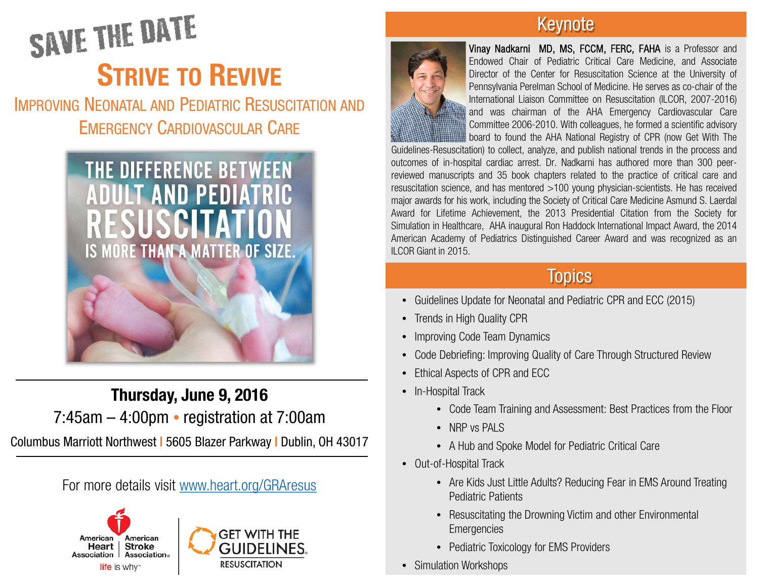# SAVE THE DATE **STRIVE TO REVIVE**

IMPROVING NEONATAL AND PEDIATRIC RESUSCITATION AND EMERGENCY CARDIOVASCULAR CARE



Thursday, June 9, 2016 7:45am – 4:00pm • registration at 7:00am

Columbus Marriott Northwest | 5605 Blazer Parkway | Dublin, OH 43017

For more details visit [www.heart.org/GRAresus](http://www.heart.org/GRAresus)



#### Keynote



Vinay Nadkarni MD, MS, FCCM, FERC, FAHA is a Professor and Endowed Chair of Pediatric Critical Care Medicine, and Associate Director of the Center for Resuscitation Science at the University of Pennsylvania Perelman School of Medicine. He serves as co-chair of the International Liaison Committee on Resuscitation (ILCOR, 2007-2016) and was chairman of the AHA Emergency Cardiovascular Care Committee 2006-2010. With colleagues, he formed a scientific advisory board to found the AHA National Registry of CPR (now Get With The

Guidelines-Resuscitation) to collect, analyze, and publish national trends in the process and outcomes of in-hospital cardiac arrest. Dr. Nadkarni has authored more than 300 peerreviewed manuscripts and 35 book chapters related to the practice of critical care and resuscitation science, and has mentored >100 young physician-scientists. He has received major awards for his work, including the Society of Critical Care Medicine Asmund S. Laerdal Award for Lifetime Achievement, the 2013 Presidential Citation from the Society for Simulation in Healthcare, AHA inaugural Ron Haddock International Impact Award, the 2014 American Academy of Pediatrics Distinguished Career Award and was recognized as an ILCOR Giant in 2015.

#### Topics

- Guidelines Update for Neonatal and Pediatric CPR and ECC (2015)
- Trends in High Quality CPR
- Improving Code Team Dynamics
- Code Debriefing: Improving Quality of Care Through Structured Review
- Ethical Aspects of CPR and ECC
- In-Hospital Track
	- Code Team Training and Assessment: Best Practices from the Floor
	- NRP vs PALS
	- A Hub and Spoke Model for Pediatric Critical Care
- Out-of-Hospital Track
	- Are Kids Just Little Adults? Reducing Fear in EMS Around Treating Pediatric Patients
	- Resuscitating the Drowning Victim and other Environmental **Emergencies**
	- Pediatric Toxicology for EMS Providers
- Simulation Workshops